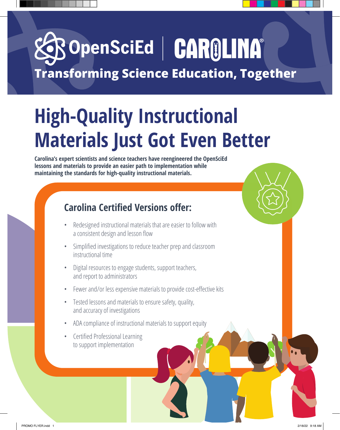## BOpenSciEd | CAROLINA® **Transforming Science Education, Together**

## **High-Quality Instructional Materials Just Got Even Better**

**Carolina's expert scientists and science teachers have reengineered the OpenSciEd lessons and materials to provide an easier path to implementation while maintaining the standards for high-quality instructional materials.**

#### **Carolina Certified Versions offer:**

- Redesigned instructional materials that are easier to follow with a consistent design and lesson flow
- Simplified investigations to reduce teacher prep and classroom instructional time
- Digital resources to engage students, support teachers, and report to administrators
- Fewer and/or less expensive materials to provide cost-effective kits
- Tested lessons and materials to ensure safety, quality, and accuracy of investigations
- ADA compliance of instructional materials to support equity
- Certified Professional Learning to support implementation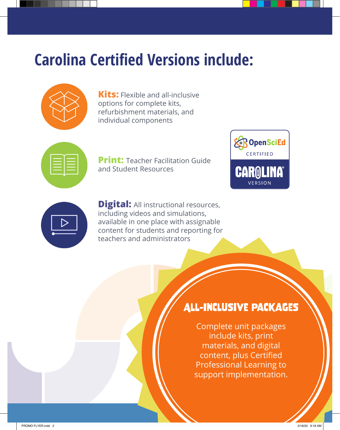## **Carolina Certified Versions include:**



**Kits:** Flexible and all-inclusive options for complete kits, refurbishment materials, and individual components



**Print: Teacher Facilitation Guide** and Student Resources





**Digital:** All instructional resources, including videos and simulations, available in one place with assignable content for students and reporting for teachers and administrators

### All-Inclusive Packages

Complete unit packages include kits, print materials, and digital content, plus Certified Professional Learning to support implementation.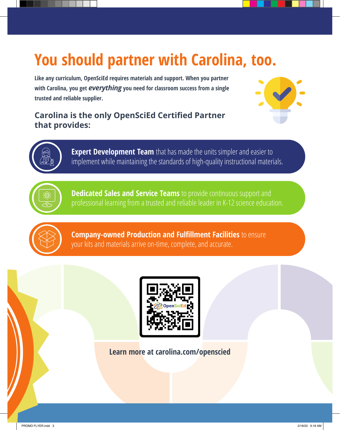## **You should partner with Carolina, too.**

**Like any curriculum, OpenSciEd requires materials and support. When you partner with Carolina, you get** *everything* **you need for classroom success from a single trusted and reliable supplier.** 

#### **Carolina is the only OpenSciEd Certified Partner that provides:**





**Expert Development Team** that has made the units simpler and easier to implement while maintaining the standards of high-quality instructional materials.



**Dedicated Sales and Service Teams** to provide continuous support and professional learning from a trusted and reliable leader in K-12 science education.



**Company-owned Production and Fulfillment Facilities** to ensure your kits and materials arrive on-time, complete, and accurate.



**Learn more at carolina.com/openscied**